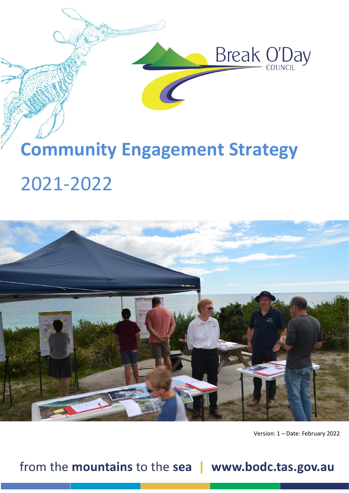

# **Community Engagement Strategy** 2021-2022



Version: 1 – Date: February 2022

from the mountains to the sea | www.bodc.tas.gov.au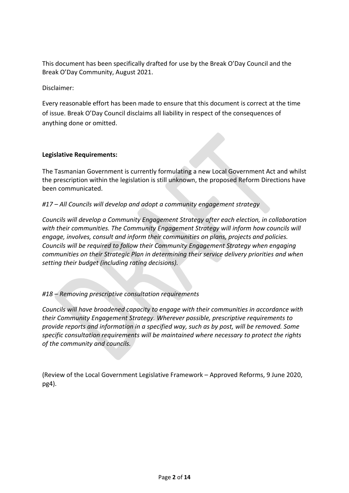This document has been specifically drafted for use by the Break O'Day Council and the Break O'Day Community, August 2021.

Disclaimer:

Every reasonable effort has been made to ensure that this document is correct at the time of issue. Break O'Day Council disclaims all liability in respect of the consequences of anything done or omitted.

#### **Legislative Requirements:**

The Tasmanian Government is currently formulating a new Local Government Act and whilst the prescription within the legislation is still unknown, the proposed Reform Directions have been communicated.

*#17 – All Councils will develop and adopt a community engagement strategy*

*Councils will develop a Community Engagement Strategy after each election, in collaboration with their communities. The Community Engagement Strategy will inform how councils will engage, involves, consult and inform their communities on plans, projects and policies. Councils will be required to follow their Community Engagement Strategy when engaging communities on their Strategic Plan in determining their service delivery priorities and when setting their budget (including rating decisions).*

*#18 – Removing prescriptive consultation requirements*

*Councils will have broadened capacity to engage with their communities in accordance with their Community Engagement Strategy. Wherever possible, prescriptive requirements to provide reports and information in a specified way, such as by post, will be removed. Some specific consultation requirements will be maintained where necessary to protect the rights of the community and councils.*

(Review of the Local Government Legislative Framework – Approved Reforms, 9 June 2020, pg4).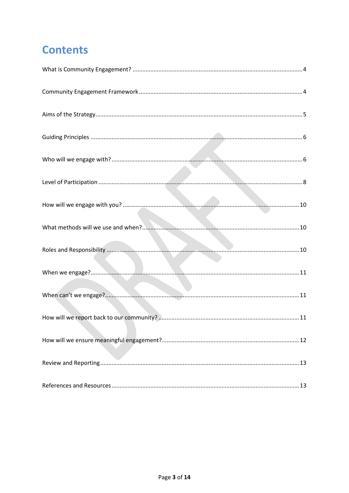# **Contents**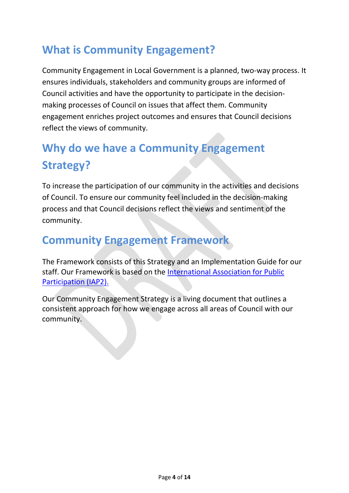# <span id="page-3-0"></span>**What is Community Engagement?**

Community Engagement in Local Government is a planned, two-way process. It ensures individuals, stakeholders and community groups are informed of Council activities and have the opportunity to participate in the decisionmaking processes of Council on issues that affect them. Community engagement enriches project outcomes and ensures that Council decisions reflect the views of community.

# **Why do we have a Community Engagement Strategy?**

To increase the participation of our community in the activities and decisions of Council. To ensure our community feel included in the decision-making process and that Council decisions reflect the views and sentiment of the community.

### <span id="page-3-1"></span>**Community Engagement Framework**

The Framework consists of this Strategy and an Implementation Guide for our staff. Our Framework is based on the [International Association for Public](https://www.iap2.org.au/)  [Participation \(IAP2\).](https://www.iap2.org.au/)

<span id="page-3-2"></span>Our Community Engagement Strategy is a living document that outlines a consistent approach for how we engage across all areas of Council with our community.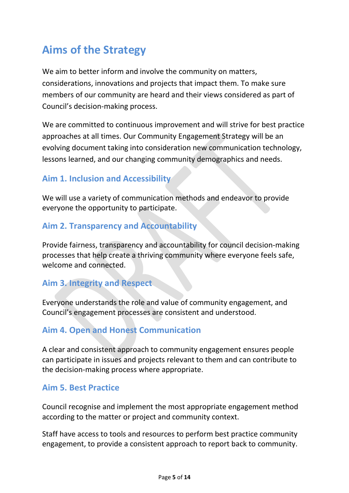# **Aims of the Strategy**

We aim to better inform and involve the community on matters, considerations, innovations and projects that impact them. To make sure members of our community are heard and their views considered as part of Council's decision-making process.

We are committed to continuous improvement and will strive for best practice approaches at all times. Our Community Engagement Strategy will be an evolving document taking into consideration new communication technology, lessons learned, and our changing community demographics and needs.

### **Aim 1. Inclusion and Accessibility**

We will use a variety of communication methods and endeavor to provide everyone the opportunity to participate.

### **Aim 2. Transparency and Accountability**

Provide fairness, transparency and accountability for council decision-making processes that help create a thriving community where everyone feels safe, welcome and connected.

### **Aim 3. Integrity and Respect**

Everyone understands the role and value of community engagement, and Council's engagement processes are consistent and understood.

### **Aim 4. Open and Honest Communication**

A clear and consistent approach to community engagement ensures people can participate in issues and projects relevant to them and can contribute to the decision-making process where appropriate.

### **Aim 5. Best Practice**

Council recognise and implement the most appropriate engagement method according to the matter or project and community context.

Staff have access to tools and resources to perform best practice community engagement, to provide a consistent approach to report back to community.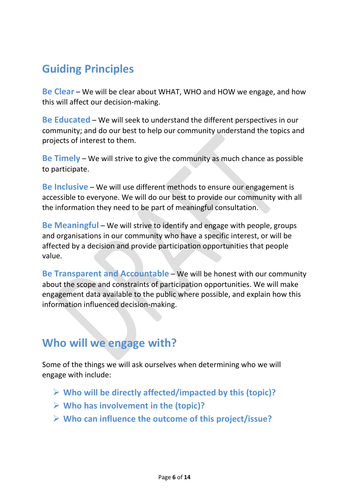## <span id="page-5-0"></span>**Guiding Principles**

**Be Clear** – We will be clear about WHAT, WHO and HOW we engage, and how this will affect our decision-making.

**Be Educated** – We will seek to understand the different perspectives in our community; and do our best to help our community understand the topics and projects of interest to them.

**Be Timely** – We will strive to give the community as much chance as possible to participate.

**Be Inclusive** – We will use different methods to ensure our engagement is accessible to everyone. We will do our best to provide our community with all the information they need to be part of meaningful consultation.

**Be Meaningful** – We will strive to identify and engage with people, groups and organisations in our community who have a specific interest, or will be affected by a decision and provide participation opportunities that people value.

**Be Transparent and Accountable** – We will be honest with our community about the scope and constraints of participation opportunities. We will make engagement data available to the public where possible, and explain how this information influenced decision-making.

### <span id="page-5-1"></span>**Who will we engage with?**

Some of the things we will ask ourselves when determining who we will engage with include:

- **Who will be directly affected/impacted by this (topic)?**
- **Who has involvement in the (topic)?**
- **Who can influence the outcome of this project/issue?**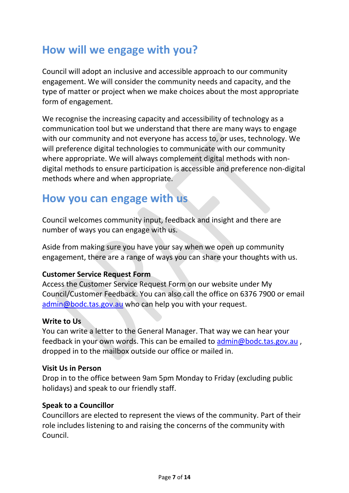### **How will we engage with you?**

Council will adopt an inclusive and accessible approach to our community engagement. We will consider the community needs and capacity, and the type of matter or project when we make choices about the most appropriate form of engagement.

We recognise the increasing capacity and accessibility of technology as a communication tool but we understand that there are many ways to engage with our community and not everyone has access to, or uses, technology. We will preference digital technologies to communicate with our community where appropriate. We will always complement digital methods with nondigital methods to ensure participation is accessible and preference non-digital methods where and when appropriate.

### **How you can engage with us**

Council welcomes community input, feedback and insight and there are number of ways you can engage with us.

Aside from making sure you have your say when we open up community engagement, there are a range of ways you can share your thoughts with us.

#### **Customer Service Request Form**

Access the Customer Service Request Form on our website under My Council/Customer Feedback. You can also call the office on 6376 7900 or email [admin@bodc.tas.gov.au](mailto:admin@bodc.tas.gov.au) who can help you with your request.

#### **Write to Us**

You can write a letter to the General Manager. That way we can hear your feedback in your own words. This can be emailed to [admin@bodc.tas.gov.au](mailto:admin@bodc.tas.gov.au), dropped in to the mailbox outside our office or mailed in.

#### **Visit Us in Person**

Drop in to the office between 9am 5pm Monday to Friday (excluding public holidays) and speak to our friendly staff.

#### **Speak to a Councillor**

Councillors are elected to represent the views of the community. Part of their role includes listening to and raising the concerns of the community with Council.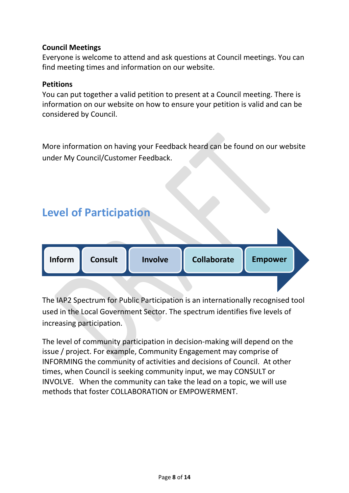#### **Council Meetings**

Everyone is welcome to attend and ask questions at Council meetings. You can find meeting times and information on our website.

#### **Petitions**

You can put together a valid petition to present at a Council meeting. There is information on our website on how to ensure your petition is valid and can be considered by Council.

More information on having your Feedback heard can be found on our website under My Council/Customer Feedback.

<span id="page-7-0"></span>

The IAP2 Spectrum for Public Participation is an internationally recognised tool used in the Local Government Sector. The spectrum identifies five levels of increasing participation.

The level of community participation in decision-making will depend on the issue / project. For example, Community Engagement may comprise of INFORMING the community of activities and decisions of Council. At other times, when Council is seeking community input, we may CONSULT or INVOLVE. When the community can take the lead on a topic, we will use methods that foster COLLABORATION or EMPOWERMENT.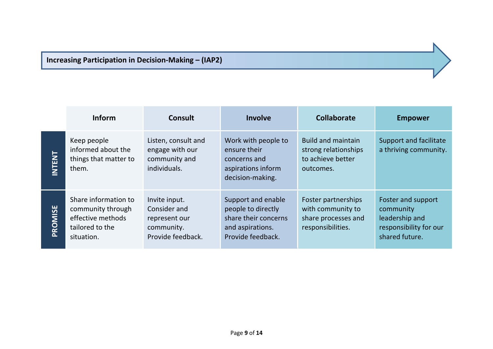### **Increasing Participation in Decision-Making – (IAP2)**

|               | <b>Inform</b>                                                                                   | <b>Consult</b>                                                                    | <b>Involve</b>                                                                                            | <b>Collaborate</b>                                                                   | <b>Empower</b>                                                                                |
|---------------|-------------------------------------------------------------------------------------------------|-----------------------------------------------------------------------------------|-----------------------------------------------------------------------------------------------------------|--------------------------------------------------------------------------------------|-----------------------------------------------------------------------------------------------|
| <b>INTENT</b> | Keep people<br>informed about the<br>things that matter to<br>them.                             | Listen, consult and<br>engage with our<br>community and<br>individuals.           | Work with people to<br>ensure their<br>concerns and<br>aspirations inform<br>decision-making.             | <b>Build and maintain</b><br>strong relationships<br>to achieve better<br>outcomes.  | Support and facilitate<br>a thriving community.                                               |
| PROMISE       | Share information to<br>community through<br>effective methods<br>tailored to the<br>situation. | Invite input.<br>Consider and<br>represent our<br>community.<br>Provide feedback. | Support and enable<br>people to directly<br>share their concerns<br>and aspirations.<br>Provide feedback. | Foster partnerships<br>with community to<br>share processes and<br>responsibilities. | Foster and support<br>community<br>leadership and<br>responsibility for our<br>shared future. |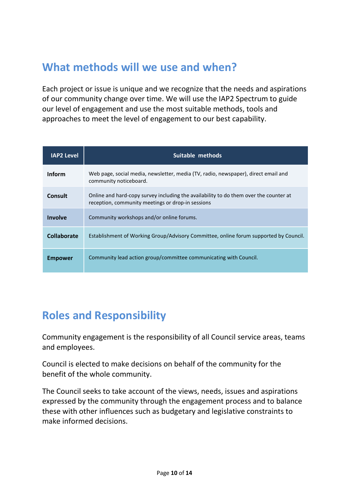### <span id="page-9-1"></span><span id="page-9-0"></span>**What methods will we use and when?**

Each project or issue is unique and we recognize that the needs and aspirations of our community change over time. We will use the IAP2 Spectrum to guide our level of engagement and use the most suitable methods, tools and approaches to meet the level of engagement to our best capability.

| <b>IAP2 Level</b> | Suitable methods                                                                                                                           |  |  |
|-------------------|--------------------------------------------------------------------------------------------------------------------------------------------|--|--|
| <b>Inform</b>     | Web page, social media, newsletter, media (TV, radio, newspaper), direct email and<br>community noticeboard.                               |  |  |
| Consult           | Online and hard-copy survey including the availability to do them over the counter at<br>reception, community meetings or drop-in sessions |  |  |
| Involve           | Community workshops and/or online forums.                                                                                                  |  |  |
| Collaborate       | Establishment of Working Group/Advisory Committee, online forum supported by Council.                                                      |  |  |
| <b>Empower</b>    | Community lead action group/committee communicating with Council.                                                                          |  |  |

### <span id="page-9-2"></span>**Roles and Responsibility**

Community engagement is the responsibility of all Council service areas, teams and employees.

Council is elected to make decisions on behalf of the community for the benefit of the whole community.

<span id="page-9-3"></span>The Council seeks to take account of the views, needs, issues and aspirations expressed by the community through the engagement process and to balance these with other influences such as budgetary and legislative constraints to make informed decisions.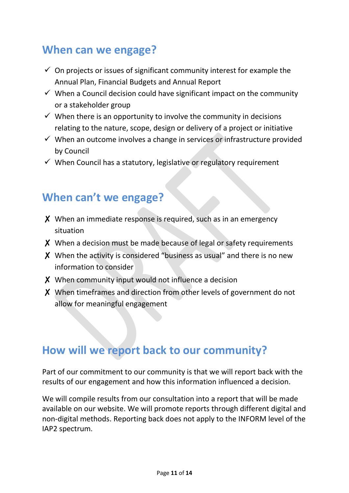### **When can we engage?**

- $\checkmark$  On projects or issues of significant community interest for example the Annual Plan, Financial Budgets and Annual Report
- $\checkmark$  When a Council decision could have significant impact on the community or a stakeholder group
- $\checkmark$  When there is an opportunity to involve the community in decisions relating to the nature, scope, design or delivery of a project or initiative
- $\checkmark$  When an outcome involves a change in services or infrastructure provided by Council
- $\checkmark$  When Council has a statutory, legislative or regulatory requirement

### <span id="page-10-0"></span>**When can't we engage?**

- ✘ When an immediate response is required, such as in an emergency situation
- ✘ When a decision must be made because of legal or safety requirements
- ✘ When the activity is considered "business as usual" and there is no new information to consider
- ✘ When community input would not influence a decision
- ✘ When timeframes and direction from other levels of government do not allow for meaningful engagement

### <span id="page-10-1"></span>**How will we report back to our community?**

Part of our commitment to our community is that we will report back with the results of our engagement and how this information influenced a decision.

We will compile results from our consultation into a report that will be made available on our website. We will promote reports through different digital and non-digital methods. Reporting back does not apply to the INFORM level of the IAP2 spectrum.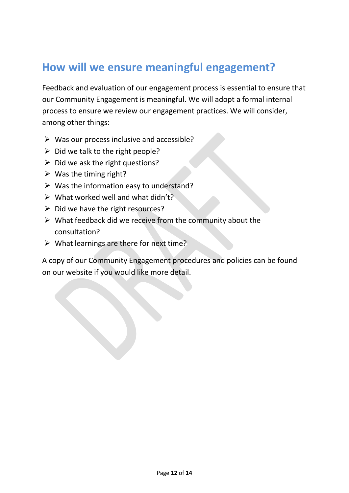### <span id="page-11-0"></span>**How will we ensure meaningful engagement?**

Feedback and evaluation of our engagement process is essential to ensure that our Community Engagement is meaningful. We will adopt a formal internal process to ensure we review our engagement practices. We will consider, among other things:

- $\triangleright$  Was our process inclusive and accessible?
- $\triangleright$  Did we talk to the right people?
- $\triangleright$  Did we ask the right questions?
- $\triangleright$  Was the timing right?
- $\triangleright$  Was the information easy to understand?
- $\triangleright$  What worked well and what didn't?
- $\triangleright$  Did we have the right resources?
- $\triangleright$  What feedback did we receive from the community about the consultation?
- $\triangleright$  What learnings are there for next time?

A copy of our Community Engagement procedures and policies can be found on our website if you would like more detail.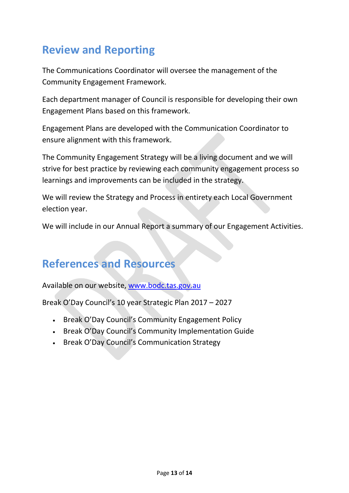# <span id="page-12-0"></span>**Review and Reporting**

The Communications Coordinator will oversee the management of the Community Engagement Framework.

Each department manager of Council is responsible for developing their own Engagement Plans based on this framework.

Engagement Plans are developed with the Communication Coordinator to ensure alignment with this framework.

The Community Engagement Strategy will be a living document and we will strive for best practice by reviewing each community engagement process so learnings and improvements can be included in the strategy.

We will review the Strategy and Process in entirety each Local Government election year.

We will include in our Annual Report a summary of our Engagement Activities.

### <span id="page-12-1"></span>**References and Resources**

Available on our website, [www.bodc.tas.gov.au](http://www.bodc.tas.gov.au/)

Break O'Day Council's 10 year Strategic Plan 2017 – 2027

- Break O'Day Council's Community Engagement Policy
- Break O'Day Council's Community Implementation Guide
- Break O'Day Council's Communication Strategy